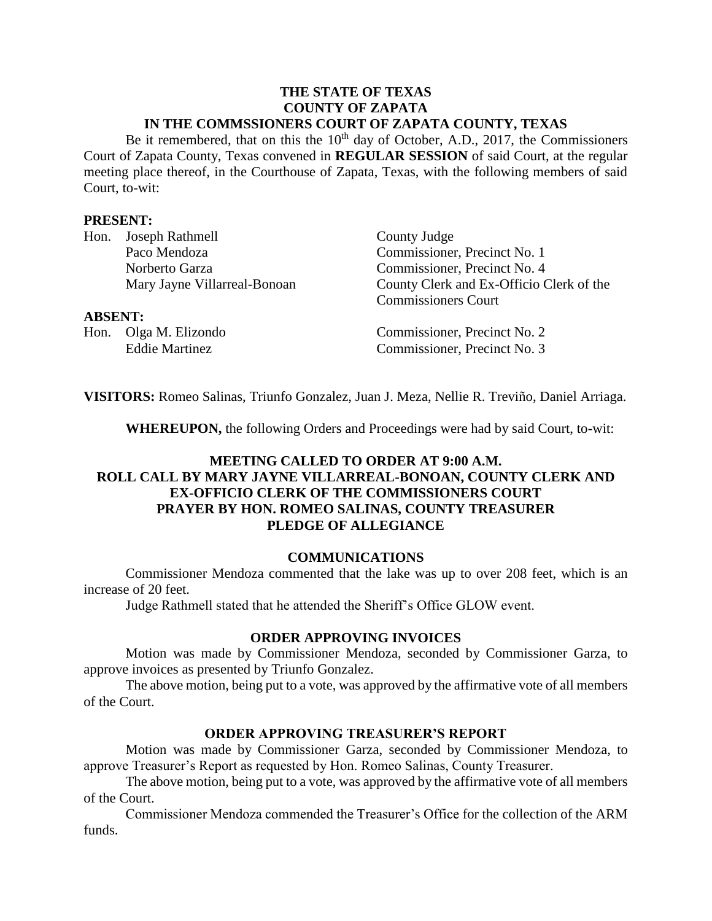#### **THE STATE OF TEXAS COUNTY OF ZAPATA IN THE COMMSSIONERS COURT OF ZAPATA COUNTY, TEXAS**

Be it remembered, that on this the  $10<sup>th</sup>$  day of October, A.D., 2017, the Commissioners Court of Zapata County, Texas convened in **REGULAR SESSION** of said Court, at the regular meeting place thereof, in the Courthouse of Zapata, Texas, with the following members of said Court, to-wit:

### **PRESENT:**

| Hon.           | Joseph Rathmell              | County Judge                             |
|----------------|------------------------------|------------------------------------------|
|                | Paco Mendoza                 | Commissioner, Precinct No. 1             |
|                | Norberto Garza               | Commissioner, Precinct No. 4             |
|                | Mary Jayne Villarreal-Bonoan | County Clerk and Ex-Officio Clerk of the |
|                |                              | <b>Commissioners Court</b>               |
| <b>ABSENT:</b> |                              |                                          |
|                | Hon. Olga M. Elizondo        | Commissioner, Precinct No. 2             |
|                | <b>Eddie Martinez</b>        | Commissioner, Precinct No. 3             |
|                |                              |                                          |

**VISITORS:** Romeo Salinas, Triunfo Gonzalez, Juan J. Meza, Nellie R. Treviño, Daniel Arriaga.

**WHEREUPON,** the following Orders and Proceedings were had by said Court, to-wit:

## **MEETING CALLED TO ORDER AT 9:00 A.M. ROLL CALL BY MARY JAYNE VILLARREAL-BONOAN, COUNTY CLERK AND EX-OFFICIO CLERK OF THE COMMISSIONERS COURT PRAYER BY HON. ROMEO SALINAS, COUNTY TREASURER PLEDGE OF ALLEGIANCE**

#### **COMMUNICATIONS**

Commissioner Mendoza commented that the lake was up to over 208 feet, which is an increase of 20 feet.

Judge Rathmell stated that he attended the Sheriff's Office GLOW event.

#### **ORDER APPROVING INVOICES**

Motion was made by Commissioner Mendoza, seconded by Commissioner Garza, to approve invoices as presented by Triunfo Gonzalez.

The above motion, being put to a vote, was approved by the affirmative vote of all members of the Court.

#### **ORDER APPROVING TREASURER'S REPORT**

Motion was made by Commissioner Garza, seconded by Commissioner Mendoza, to approve Treasurer's Report as requested by Hon. Romeo Salinas, County Treasurer.

The above motion, being put to a vote, was approved by the affirmative vote of all members of the Court.

Commissioner Mendoza commended the Treasurer's Office for the collection of the ARM funds.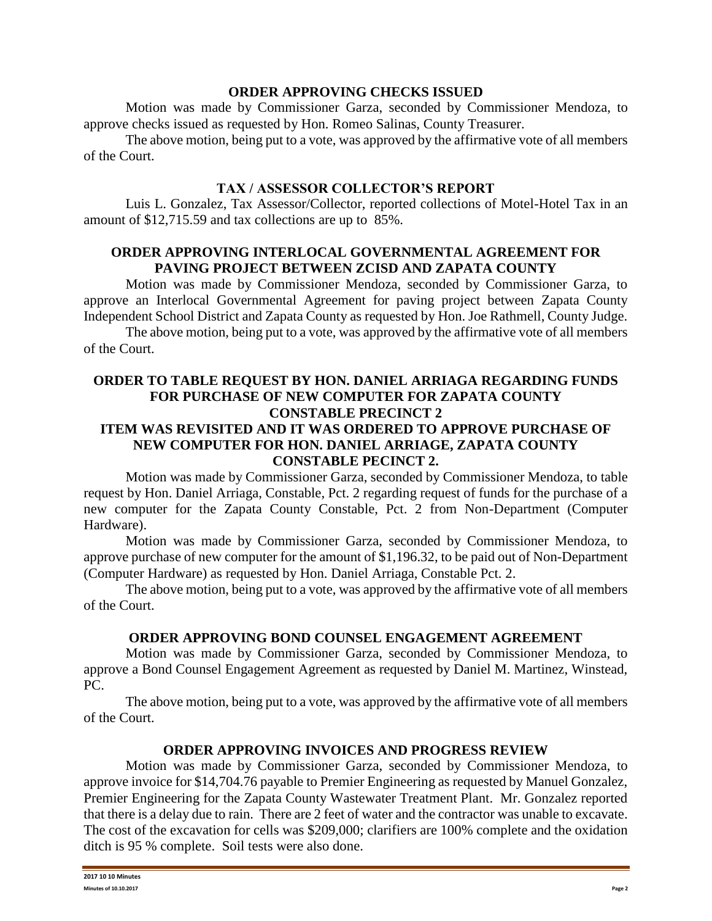### **ORDER APPROVING CHECKS ISSUED**

Motion was made by Commissioner Garza, seconded by Commissioner Mendoza, to approve checks issued as requested by Hon. Romeo Salinas, County Treasurer.

The above motion, being put to a vote, was approved by the affirmative vote of all members of the Court.

## **TAX / ASSESSOR COLLECTOR'S REPORT**

Luis L. Gonzalez, Tax Assessor/Collector, reported collections of Motel-Hotel Tax in an amount of \$12,715.59 and tax collections are up to 85%.

## **ORDER APPROVING INTERLOCAL GOVERNMENTAL AGREEMENT FOR PAVING PROJECT BETWEEN ZCISD AND ZAPATA COUNTY**

Motion was made by Commissioner Mendoza, seconded by Commissioner Garza, to approve an Interlocal Governmental Agreement for paving project between Zapata County Independent School District and Zapata County as requested by Hon. Joe Rathmell, County Judge.

The above motion, being put to a vote, was approved by the affirmative vote of all members of the Court.

## **ORDER TO TABLE REQUEST BY HON. DANIEL ARRIAGA REGARDING FUNDS FOR PURCHASE OF NEW COMPUTER FOR ZAPATA COUNTY CONSTABLE PRECINCT 2 ITEM WAS REVISITED AND IT WAS ORDERED TO APPROVE PURCHASE OF NEW COMPUTER FOR HON. DANIEL ARRIAGE, ZAPATA COUNTY CONSTABLE PECINCT 2.**

Motion was made by Commissioner Garza, seconded by Commissioner Mendoza, to table request by Hon. Daniel Arriaga, Constable, Pct. 2 regarding request of funds for the purchase of a new computer for the Zapata County Constable, Pct. 2 from Non-Department (Computer Hardware).

Motion was made by Commissioner Garza, seconded by Commissioner Mendoza, to approve purchase of new computer for the amount of \$1,196.32, to be paid out of Non-Department (Computer Hardware) as requested by Hon. Daniel Arriaga, Constable Pct. 2.

The above motion, being put to a vote, was approved by the affirmative vote of all members of the Court.

# **ORDER APPROVING BOND COUNSEL ENGAGEMENT AGREEMENT**

Motion was made by Commissioner Garza, seconded by Commissioner Mendoza, to approve a Bond Counsel Engagement Agreement as requested by Daniel M. Martinez, Winstead, PC.

The above motion, being put to a vote, was approved by the affirmative vote of all members of the Court.

# **ORDER APPROVING INVOICES AND PROGRESS REVIEW**

Motion was made by Commissioner Garza, seconded by Commissioner Mendoza, to approve invoice for \$14,704.76 payable to Premier Engineering as requested by Manuel Gonzalez, Premier Engineering for the Zapata County Wastewater Treatment Plant. Mr. Gonzalez reported that there is a delay due to rain. There are 2 feet of water and the contractor was unable to excavate. The cost of the excavation for cells was \$209,000; clarifiers are 100% complete and the oxidation ditch is 95 % complete. Soil tests were also done.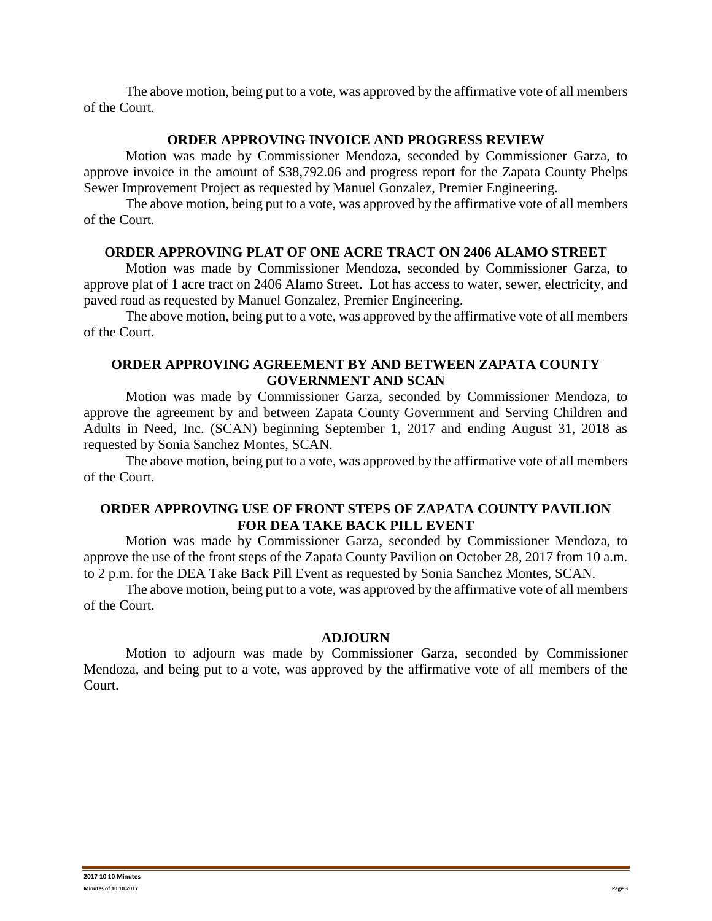The above motion, being put to a vote, was approved by the affirmative vote of all members of the Court.

### **ORDER APPROVING INVOICE AND PROGRESS REVIEW**

Motion was made by Commissioner Mendoza, seconded by Commissioner Garza, to approve invoice in the amount of \$38,792.06 and progress report for the Zapata County Phelps Sewer Improvement Project as requested by Manuel Gonzalez, Premier Engineering.

The above motion, being put to a vote, was approved by the affirmative vote of all members of the Court.

# **ORDER APPROVING PLAT OF ONE ACRE TRACT ON 2406 ALAMO STREET**

Motion was made by Commissioner Mendoza, seconded by Commissioner Garza, to approve plat of 1 acre tract on 2406 Alamo Street. Lot has access to water, sewer, electricity, and paved road as requested by Manuel Gonzalez, Premier Engineering.

The above motion, being put to a vote, was approved by the affirmative vote of all members of the Court.

# **ORDER APPROVING AGREEMENT BY AND BETWEEN ZAPATA COUNTY GOVERNMENT AND SCAN**

Motion was made by Commissioner Garza, seconded by Commissioner Mendoza, to approve the agreement by and between Zapata County Government and Serving Children and Adults in Need, Inc. (SCAN) beginning September 1, 2017 and ending August 31, 2018 as requested by Sonia Sanchez Montes, SCAN.

The above motion, being put to a vote, was approved by the affirmative vote of all members of the Court.

# **ORDER APPROVING USE OF FRONT STEPS OF ZAPATA COUNTY PAVILION FOR DEA TAKE BACK PILL EVENT**

Motion was made by Commissioner Garza, seconded by Commissioner Mendoza, to approve the use of the front steps of the Zapata County Pavilion on October 28, 2017 from 10 a.m. to 2 p.m. for the DEA Take Back Pill Event as requested by Sonia Sanchez Montes, SCAN.

The above motion, being put to a vote, was approved by the affirmative vote of all members of the Court.

# **ADJOURN**

Motion to adjourn was made by Commissioner Garza, seconded by Commissioner Mendoza, and being put to a vote, was approved by the affirmative vote of all members of the Court.